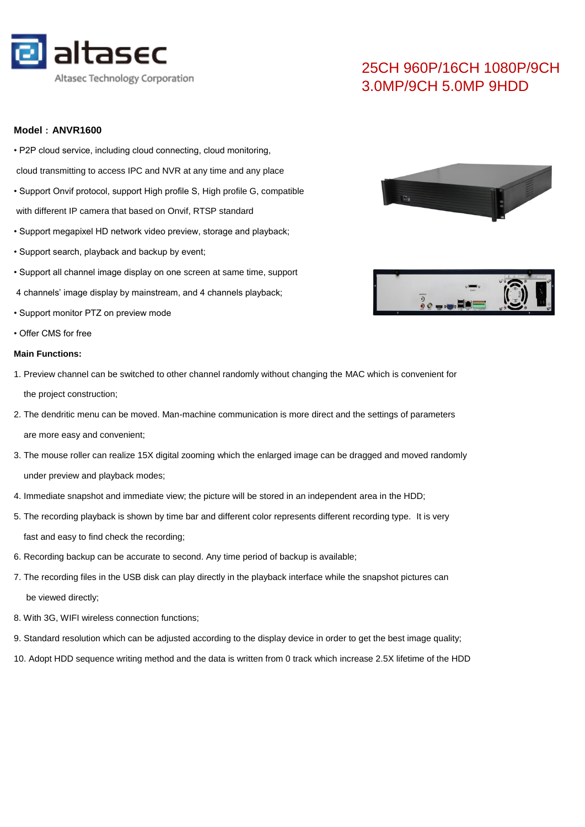

## 25CH 960P/16CH 1080P/9CH 3.0MP/9CH 5.0MP 9HDD

## **Model**:**ANVR1600**

- P2P cloud service, including cloud connecting, cloud monitoring,
- cloud transmitting to access IPC and NVR at any time and any place
- Support Onvif protocol, support High profile S, High profile G, compatible with different IP camera that based on Onvif, RTSP standard
- Support megapixel HD network video preview, storage and playback;
- Support search, playback and backup by event;
- Support all channel image display on one screen at same time, support
- 4 channels' image display by mainstream, and 4 channels playback;
- Support monitor PTZ on preview mode
- Offer CMS for free

## **Main Functions:**

- 1. Preview channel can be switched to other channel randomly without changing the MAC which is convenient for the project construction;
- 2. The dendritic menu can be moved. Man-machine communication is more direct and the settings of parameters are more easy and convenient;
- 3. The mouse roller can realize 15X digital zooming which the enlarged image can be dragged and moved randomly under preview and playback modes;
- 4. Immediate snapshot and immediate view; the picture will be stored in an independent area in the HDD;
- 5. The recording playback is shown by time bar and different color represents different recording type. It is very fast and easy to find check the recording;
- 6. Recording backup can be accurate to second. Any time period of backup is available;
- 7. The recording files in the USB disk can play directly in the playback interface while the snapshot pictures can be viewed directly;
- 8. With 3G, WIFI wireless connection functions;
- 9. Standard resolution which can be adjusted according to the display device in order to get the best image quality;
- 10. Adopt HDD sequence writing method and the data is written from 0 track which increase 2.5X lifetime of the HDD